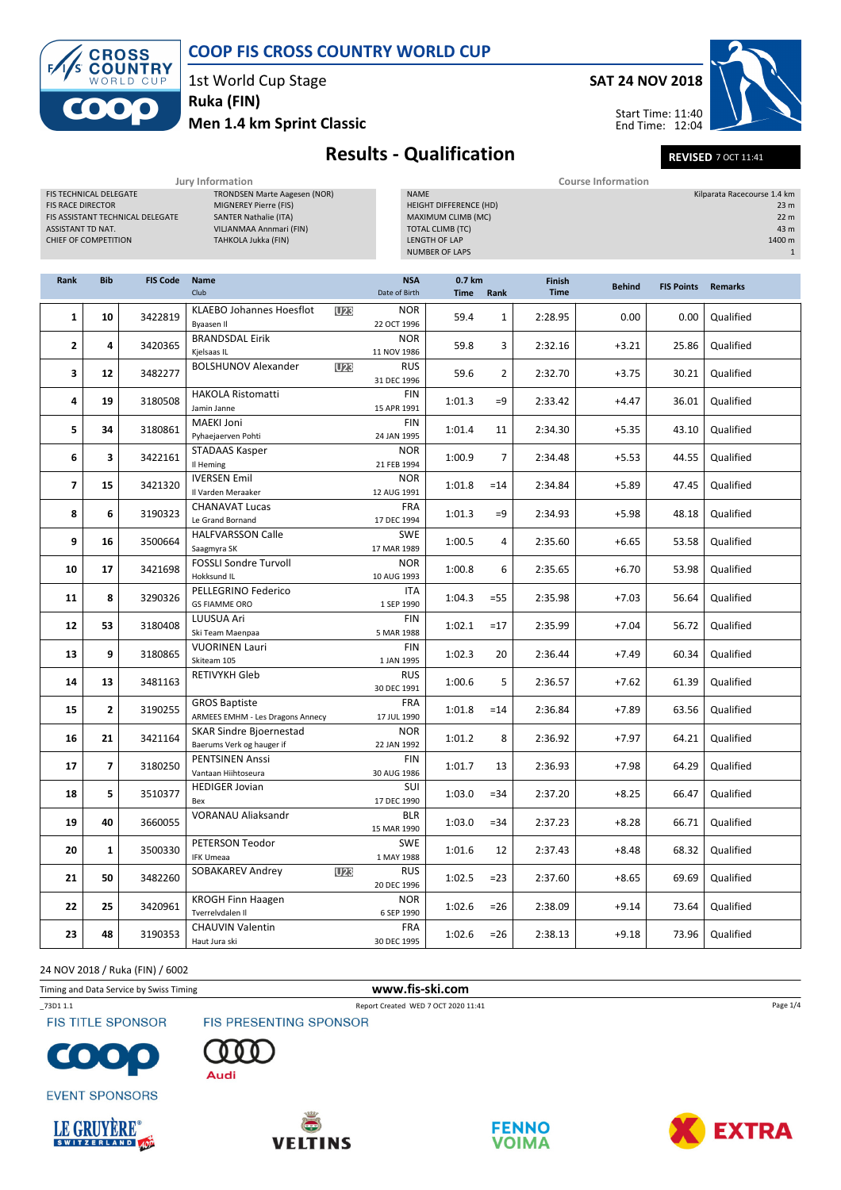

1st World Cup Stage

Ruka (FIN)

Men 1.4 km Sprint Classic



Start Time: 11:40 End Time: 12:04



### Results - Qualification REVISED 7 OCT 11:41

| Jury Information                                                                                                                                  |              |                 |                                                                                                                                                |                                         | <b>Course Information</b>                                                                                                                      |                |                       |               |                   |                             |                                                                      |  |
|---------------------------------------------------------------------------------------------------------------------------------------------------|--------------|-----------------|------------------------------------------------------------------------------------------------------------------------------------------------|-----------------------------------------|------------------------------------------------------------------------------------------------------------------------------------------------|----------------|-----------------------|---------------|-------------------|-----------------------------|----------------------------------------------------------------------|--|
| FIS TECHNICAL DELEGATE<br><b>FIS RACE DIRECTOR</b><br>FIS ASSISTANT TECHNICAL DELEGATE<br><b>ASSISTANT TD NAT.</b><br><b>CHIEF OF COMPETITION</b> |              |                 | <b>TRONDSEN Marte Aagesen (NOR)</b><br>MIGNEREY Pierre (FIS)<br><b>SANTER Nathalie (ITA)</b><br>VILJANMAA Annmari (FIN)<br>TAHKOLA Jukka (FIN) |                                         | <b>NAME</b><br><b>HEIGHT DIFFERENCE (HD)</b><br>MAXIMUM CLIMB (MC)<br><b>TOTAL CLIMB (TC)</b><br><b>LENGTH OF LAP</b><br><b>NUMBER OF LAPS</b> |                |                       |               |                   | Kilparata Racecourse 1.4 km | 23 <sub>m</sub><br>22 <sub>m</sub><br>43 m<br>1400 m<br>$\mathbf{1}$ |  |
| <b>Rank</b>                                                                                                                                       | <b>Bib</b>   | <b>FIS Code</b> | <b>Name</b><br>Club                                                                                                                            | <b>NSA</b><br>Date of Birth             | 0.7 km<br>Time                                                                                                                                 | Rank           | Finish<br><b>Time</b> | <b>Behind</b> | <b>FIS Points</b> | <b>Remarks</b>              |                                                                      |  |
| $\mathbf{1}$                                                                                                                                      | 10           | 3422819         | <b>KLAEBO Johannes Hoesflot</b><br>Byaasen II                                                                                                  | <b>NOR</b><br><b>U23</b><br>22 OCT 1996 | 59.4                                                                                                                                           | $\mathbf{1}$   | 2:28.95               | 0.00          | 0.00              | Qualified                   |                                                                      |  |
| 2                                                                                                                                                 | 4            | 3420365         | <b>BRANDSDAL Eirik</b><br>Kjelsaas IL                                                                                                          | <b>NOR</b><br>11 NOV 1986               | 59.8                                                                                                                                           | 3              | 2:32.16               | $+3.21$       | 25.86             | Qualified                   |                                                                      |  |
| 3                                                                                                                                                 | 12           | 3482277         | <b>BOLSHUNOV Alexander</b>                                                                                                                     | <b>RUS</b><br>U23<br>31 DEC 1996        | 59.6                                                                                                                                           | $\overline{2}$ | 2:32.70               | $+3.75$       | 30.21             | Qualified                   |                                                                      |  |
| 4                                                                                                                                                 | 19           | 3180508         | <b>HAKOLA Ristomatti</b><br>Jamin Janne                                                                                                        | <b>FIN</b><br>15 APR 1991               | 1:01.3                                                                                                                                         | $=9$           | 2:33.42               | $+4.47$       | 36.01             | Qualified                   |                                                                      |  |
| 5                                                                                                                                                 | 34           | 3180861         | <b>MAEKI Joni</b><br>Pyhaejaerven Pohti                                                                                                        | <b>FIN</b><br>24 JAN 1995               | 1:01.4                                                                                                                                         | 11             | 2:34.30               | $+5.35$       | 43.10             | Qualified                   |                                                                      |  |
| 6                                                                                                                                                 | 3            | 3422161         | STADAAS Kasper<br>Il Heming                                                                                                                    | <b>NOR</b><br>21 FEB 1994               | 1:00.9                                                                                                                                         | $\overline{7}$ | 2:34.48               | $+5.53$       | 44.55             | Qualified                   |                                                                      |  |
| $\overline{7}$                                                                                                                                    | 15           | 3421320         | <b>IVERSEN Emil</b><br>Il Varden Meraaker                                                                                                      | <b>NOR</b><br>12 AUG 1991               | 1:01.8                                                                                                                                         | $=14$          | 2:34.84               | $+5.89$       | 47.45             | Qualified                   |                                                                      |  |
| 8                                                                                                                                                 | 6            | 3190323         | <b>CHANAVAT Lucas</b><br>Le Grand Bornand                                                                                                      | <b>FRA</b><br>17 DEC 1994               | 1:01.3                                                                                                                                         | $=9$           | 2:34.93               | $+5.98$       | 48.18             | Qualified                   |                                                                      |  |
| 9                                                                                                                                                 | 16           | 3500664         | <b>HALFVARSSON Calle</b><br>Saagmyra SK                                                                                                        | <b>SWE</b><br>17 MAR 1989               | 1:00.5                                                                                                                                         | 4              | 2:35.60               | $+6.65$       | 53.58             | Qualified                   |                                                                      |  |
| 10                                                                                                                                                | 17           | 3421698         | <b>FOSSLI Sondre Turvoll</b><br>Hokksund IL                                                                                                    | <b>NOR</b><br>10 AUG 1993               | 1:00.8                                                                                                                                         | 6              | 2:35.65               | $+6.70$       | 53.98             | Qualified                   |                                                                      |  |
| 11                                                                                                                                                | 8            | 3290326         | PELLEGRINO Federico<br><b>GS FIAMME ORO</b>                                                                                                    | <b>ITA</b><br>1 SEP 1990                | 1:04.3                                                                                                                                         | $= 55$         | 2:35.98               | $+7.03$       | 56.64             | Qualified                   |                                                                      |  |
| 12                                                                                                                                                | 53           | 3180408         | LUUSUA Ari<br>Ski Team Maenpaa                                                                                                                 | <b>FIN</b><br>5 MAR 1988                | 1:02.1                                                                                                                                         | $=17$          | 2:35.99               | $+7.04$       | 56.72             | Qualified                   |                                                                      |  |
| 13                                                                                                                                                | 9            | 3180865         | <b>VUORINEN Lauri</b><br>Skiteam 105                                                                                                           | <b>FIN</b><br>1 JAN 1995                | 1:02.3                                                                                                                                         | 20             | 2:36.44               | $+7.49$       | 60.34             | Qualified                   |                                                                      |  |
| 14                                                                                                                                                | 13           | 3481163         | <b>RETIVYKH Gleb</b>                                                                                                                           | <b>RUS</b><br>30 DEC 1991               | 1:00.6                                                                                                                                         | 5              | 2:36.57               | $+7.62$       | 61.39             | Qualified                   |                                                                      |  |
| 15                                                                                                                                                | $\mathbf{2}$ | 3190255         | <b>GROS Baptiste</b><br>ARMEES EMHM - Les Dragons Annecy                                                                                       | <b>FRA</b><br>17 JUL 1990               | 1:01.8                                                                                                                                         | $=14$          | 2:36.84               | $+7.89$       | 63.56             | Qualified                   |                                                                      |  |

NOR 22 JAN 1992

FIN 30 AUG 1986

 $\overline{\text{SUE}}$ 17 DEC 1990

SWE 1 MAY 1988

NOR 6 SEP 1990

FRA 30 DEC 1995

15 MAR 1990

20 DEC 1996

3421164 1:01.2 8 2:36.92 +7.97 64.21 Qualified

3180250 1:01.7 13 2:36.93 +7.98 64.29 Qualified

3510377 1:03.0 =34 2:37.20 +8.25 66.47 Qualified

3660055 **1:03.0 1:04.05 1:04.05 1:04.05 1:04.05 1:04.05 1:04.05** 1:03.0 - 34 2:37.23 +8.28 66.71 Qualified

 $3500330$   $\frac{1}{2}$   $\frac{1}{2}$   $\frac{1}{2}$   $\frac{1}{2}$   $\frac{1}{2}$   $\frac{1}{2}$   $\frac{1}{2}$   $\frac{1}{2}$   $\frac{1}{2}$   $\frac{1}{2}$   $\frac{1}{2}$   $\frac{1}{2}$   $\frac{1}{2}$   $\frac{1}{2}$   $\frac{1}{2}$   $\frac{1}{2}$   $\frac{1}{2}$   $\frac{1}{2}$   $\frac{1}{2}$   $\frac{1}{2}$   $\frac{1}{2}$ 

3482260 1:02.5 =23 2:37.60 +8.65 69.69 Qualified

3420961 1:02.6 =26 2:38.09 +9.14 73.64 Qualified

 $3190353$  1:02.6 =26 2:38.13 +9.18 73.96 Qualified

24 NOV 2018 / Ruka (FIN) / 6002

 $17 \mid 7$ 

 $18$  5

 $20$  1

 $21$  50

 $23$  48

O a

**EVENT SPONSORS** 

LE GRUYÈRE®

Timing and Data Service by Swiss Timing **www.fis-ski.com** 

16 21 3421164 SKAR Sindre Bjoernestad

Bex

 $\begin{array}{|c|c|c|c|c|}\n\hline\n\textbf{22} & \textbf{25} & \textbf{3420961}}\n\end{array}$  KROGH Finn Haagen

Baerums Verk og hauger if

19 40 3660055 VORANAU Aliaksandr BLR

PETERSON Teodor IFK Umeaa

Tverrelvdalen Il

CHAUVIN Valentin Haut Jura ski

PENTSINEN Anssi Vantaan Hiihtoseura

HEDIGER Jovian

\_73D1 1.1 Report Created WED 7 OCT 2020 11:41

**FIS TITLE SPONSOR** 

FIS PRESENTING SPONSOR









SOBAKAREV Andrey **D23** RUS





Page 1/4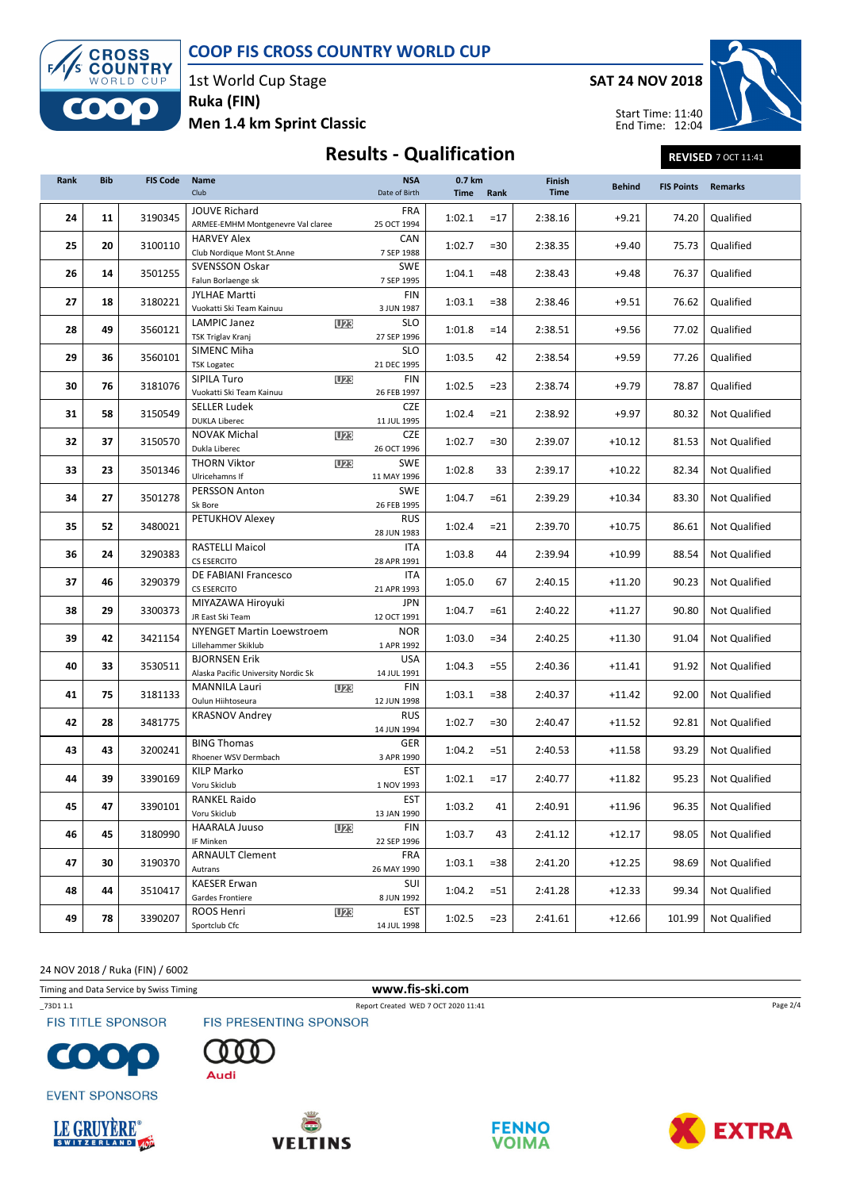

1st World Cup Stage Ruka (FIN)

Men 1.4 km Sprint Classic

SAT 24 NOV 2018



Start Time: 11:40 End Time: 12:04

# Results - Qualification REVISED 7 OCT 11:41

| Rank | <b>Bib</b> | <b>FIS Code</b> | <b>Name</b><br>Club                                         | <b>NSA</b><br>Date of Birth | 0.7 km<br><b>Time</b> | Rank   | Finish<br><b>Time</b> | <b>Behind</b> | <b>FIS Points</b> | <b>Remarks</b>       |
|------|------------|-----------------|-------------------------------------------------------------|-----------------------------|-----------------------|--------|-----------------------|---------------|-------------------|----------------------|
| 24   | 11         | 3190345         | <b>JOUVE Richard</b><br>ARMEE-EMHM Montgenevre Val claree   | <b>FRA</b><br>25 OCT 1994   | 1:02.1                | $=17$  | 2:38.16               | $+9.21$       | 74.20             | Qualified            |
| 25   | 20         | 3100110         | <b>HARVEY Alex</b><br>Club Nordique Mont St.Anne            | CAN<br>7 SEP 1988           | 1:02.7                | $= 30$ | 2:38.35               | $+9.40$       | 75.73             | Qualified            |
| 26   | 14         | 3501255         | <b>SVENSSON Oskar</b><br>Falun Borlaenge sk                 | <b>SWE</b><br>7 SEP 1995    | 1:04.1                | $=48$  | 2:38.43               | $+9.48$       | 76.37             | Qualified            |
| 27   | 18         | 3180221         | <b>JYLHAE Martti</b><br>Vuokatti Ski Team Kainuu            | FIN<br>3 JUN 1987           | 1:03.1                | $= 38$ | 2:38.46               | $+9.51$       | 76.62             | Qualified            |
| 28   | 49         | 3560121         | <b>LAMPIC Janez</b><br>U <sub>23</sub><br>TSK Triglav Kranj | SLO<br>27 SEP 1996          | 1:01.8                | $=14$  | 2:38.51               | $+9.56$       | 77.02             | Qualified            |
| 29   | 36         | 3560101         | SIMENC Miha<br><b>TSK Logatec</b>                           | <b>SLO</b><br>21 DEC 1995   | 1:03.5                | 42     | 2:38.54               | $+9.59$       | 77.26             | Qualified            |
| 30   | 76         | 3181076         | SIPILA Turo<br><b>U23</b><br>Vuokatti Ski Team Kainuu       | FIN<br>26 FEB 1997          | 1:02.5                | $= 23$ | 2:38.74               | $+9.79$       | 78.87             | Qualified            |
| 31   | 58         | 3150549         | <b>SELLER Ludek</b><br><b>DUKLA Liberec</b>                 | <b>CZE</b><br>11 JUL 1995   | 1:02.4                | $= 21$ | 2:38.92               | +9.97         | 80.32             | Not Qualified        |
| 32   | 37         | 3150570         | <b>NOVAK Michal</b><br>U23<br>Dukla Liberec                 | <b>CZE</b><br>26 OCT 1996   | 1:02.7                | $= 30$ | 2:39.07               | $+10.12$      | 81.53             | Not Qualified        |
| 33   | 23         | 3501346         | <b>THORN Viktor</b><br><b>U23</b><br>Ulricehamns If         | <b>SWE</b><br>11 MAY 1996   | 1:02.8                | 33     | 2:39.17               | $+10.22$      | 82.34             | Not Qualified        |
| 34   | 27         | 3501278         | PERSSON Anton<br>Sk Bore                                    | <b>SWE</b><br>26 FEB 1995   | 1:04.7                | $=61$  | 2:39.29               | $+10.34$      | 83.30             | Not Qualified        |
| 35   | 52         | 3480021         | PETUKHOV Alexey                                             | <b>RUS</b><br>28 JUN 1983   | 1:02.4                | $= 21$ | 2:39.70               | $+10.75$      | 86.61             | Not Qualified        |
| 36   | 24         | 3290383         | <b>RASTELLI Maicol</b><br>CS ESERCITO                       | ITA<br>28 APR 1991          | 1:03.8                | 44     | 2:39.94               | +10.99        | 88.54             | Not Qualified        |
| 37   | 46         | 3290379         | DE FABIANI Francesco<br><b>CS ESERCITO</b>                  | ITA<br>21 APR 1993          | 1:05.0                | 67     | 2:40.15               | $+11.20$      | 90.23             | Not Qualified        |
| 38   | 29         | 3300373         | MIYAZAWA Hiroyuki<br>JR East Ski Team                       | JPN<br>12 OCT 1991          | 1:04.7                | $=61$  | 2:40.22               | $+11.27$      | 90.80             | Not Qualified        |
| 39   | 42         | 3421154         | <b>NYENGET Martin Loewstroem</b><br>Lillehammer Skiklub     | <b>NOR</b><br>1 APR 1992    | 1:03.0                | $= 34$ | 2:40.25               | $+11.30$      | 91.04             | Not Qualified        |
| 40   | 33         | 3530511         | <b>BJORNSEN Erik</b><br>Alaska Pacific University Nordic Sk | <b>USA</b><br>14 JUL 1991   | 1:04.3                | $= 55$ | 2:40.36               | $+11.41$      | 91.92             | Not Qualified        |
| 41   | 75         | 3181133         | <b>MANNILA Lauri</b><br><b>U23</b><br>Oulun Hiihtoseura     | FIN<br>12 JUN 1998          | 1:03.1                | $= 38$ | 2:40.37               | $+11.42$      | 92.00             | Not Qualified        |
| 42   | 28         | 3481775         | <b>KRASNOV Andrey</b>                                       | <b>RUS</b><br>14 JUN 1994   | 1:02.7                | $= 30$ | 2:40.47               | $+11.52$      | 92.81             | Not Qualified        |
| 43   | 43         | 3200241         | <b>BING Thomas</b><br>Rhoener WSV Dermbach                  | GER<br>3 APR 1990           | 1:04.2                | $= 51$ | 2:40.53               | $+11.58$      | 93.29             | Not Qualified        |
| 44   | 39         | 3390169         | KILP Marko<br>Voru Skiclub                                  | <b>EST</b><br>1 NOV 1993    | 1:02.1                | $=17$  | 2:40.77               | +11.82        | 95.23             | Not Qualified        |
| 45   | 47         | 3390101         | <b>RANKEL Raido</b><br>Voru Skiclub                         | <b>EST</b><br>13 JAN 1990   | 1:03.2                | 41     | 2:40.91               | $+11.96$      | 96.35             | Not Qualified        |
| 46   | 45         | 3180990         | <b>HAARALA Juuso</b><br><b>U23</b><br>IF Minken             | FIN<br>22 SEP 1996          | 1:03.7                | 43     | 2:41.12               | $+12.17$      | 98.05             | Not Qualified        |
| 47   | 30         | 3190370         | <b>ARNAULT Clement</b><br>Autrans                           | <b>FRA</b><br>26 MAY 1990   | 1:03.1                | $= 38$ | 2:41.20               | $+12.25$      | 98.69             | <b>Not Qualified</b> |
| 48   | 44         | 3510417         | <b>KAESER Erwan</b><br>Gardes Frontiere                     | SUI<br>8 JUN 1992           | 1:04.2                | $= 51$ | 2:41.28               | $+12.33$      | 99.34             | Not Qualified        |
| 49   | 78         | 3390207         | ROOS Henri<br><b>U23</b><br>Sportclub Cfc                   | <b>EST</b><br>14 JUL 1998   | 1:02.5                | $= 23$ | 2:41.61               | $+12.66$      | 101.99            | Not Qualified        |

24 NOV 2018 / Ruka (FIN) / 6002

Timing and Data Service by Swiss Timing **www.fis-ski.com** 

**FIS TITLE SPONSOR** 

**EVENT SPONSORS** 



FIS PRESENTING SPONSOR Audi



\_73D1 1.1 Report Created WED 7 OCT 2020 11:41









Page 2/4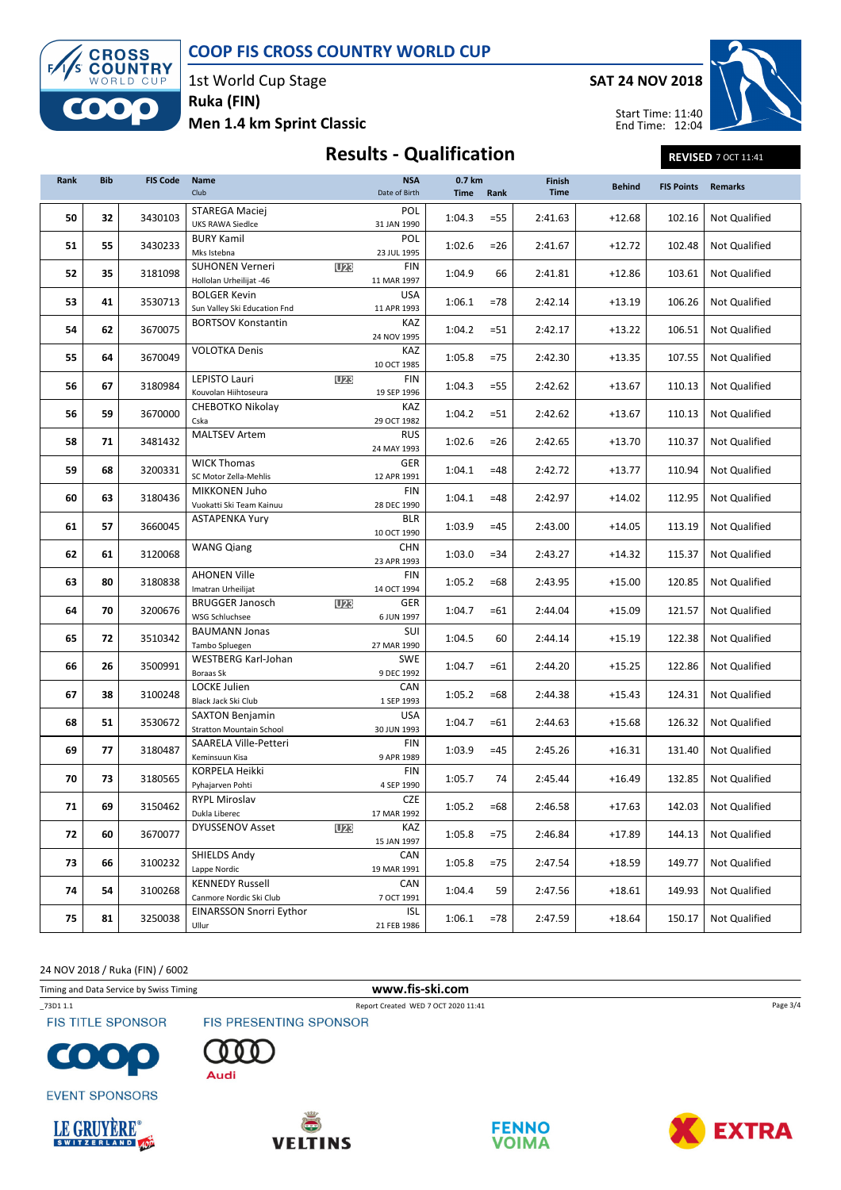

1st World Cup Stage Ruka (FIN)

Men 1.4 km Sprint Classic

SAT 24 NOV 2018



Start Time: 11:40 End Time: 12:04

### Results - Qualification REVISED 7 OCT 11:41

| Rank | <b>Bib</b> | <b>FIS Code</b> | Name<br>Club                                              |            | <b>NSA</b><br>Date of Birth | 0.7 km<br><b>Time</b> | Rank   | Finish<br><b>Time</b> | <b>Behind</b> | <b>FIS Points</b> | <b>Remarks</b>       |
|------|------------|-----------------|-----------------------------------------------------------|------------|-----------------------------|-----------------------|--------|-----------------------|---------------|-------------------|----------------------|
| 50   | 32         | 3430103         | <b>STAREGA Maciej</b><br><b>UKS RAWA Siedlce</b>          |            | POL<br>31 JAN 1990          | 1:04.3                | $= 55$ | 2:41.63               | $+12.68$      | 102.16            | Not Qualified        |
| 51   | 55         | 3430233         | <b>BURY Kamil</b><br>Mks Istebna                          |            | POL<br>23 JUL 1995          | 1:02.6                | $= 26$ | 2:41.67               | $+12.72$      | 102.48            | Not Qualified        |
| 52   | 35         | 3181098         | <b>SUHONEN Verneri</b><br>Hollolan Urheilijat -46         | U23        | <b>FIN</b><br>11 MAR 1997   | 1:04.9                | 66     | 2:41.81               | $+12.86$      | 103.61            | <b>Not Qualified</b> |
| 53   | 41         | 3530713         | <b>BOLGER Kevin</b><br>Sun Valley Ski Education Fnd       |            | <b>USA</b><br>11 APR 1993   | 1:06.1                | $=78$  | 2:42.14               | $+13.19$      | 106.26            | Not Qualified        |
| 54   | 62         | 3670075         | <b>BORTSOV Konstantin</b>                                 |            | KAZ<br>24 NOV 1995          | 1:04.2                | $= 51$ | 2:42.17               | $+13.22$      | 106.51            | Not Qualified        |
| 55   | 64         | 3670049         | <b>VOLOTKA Denis</b>                                      |            | KAZ<br>10 OCT 1985          | 1:05.8                | $=75$  | 2:42.30               | $+13.35$      | 107.55            | Not Qualified        |
| 56   | 67         | 3180984         | LEPISTO Lauri<br>Kouvolan Hiihtoseura                     | <b>U23</b> | FIN<br>19 SEP 1996          | 1:04.3                | $= 55$ | 2:42.62               | $+13.67$      | 110.13            | Not Qualified        |
| 56   | 59         | 3670000         | CHEBOTKO Nikolay<br>Cska                                  |            | KAZ<br>29 OCT 1982          | 1:04.2                | $= 51$ | 2:42.62               | $+13.67$      | 110.13            | Not Qualified        |
| 58   | 71         | 3481432         | <b>MALTSEV Artem</b>                                      |            | <b>RUS</b><br>24 MAY 1993   | 1:02.6                | $= 26$ | 2:42.65               | $+13.70$      | 110.37            | Not Qualified        |
| 59   | 68         | 3200331         | <b>WICK Thomas</b><br>SC Motor Zella-Mehlis               |            | GER<br>12 APR 1991          | 1:04.1                | $=48$  | 2:42.72               | $+13.77$      | 110.94            | Not Qualified        |
| 60   | 63         | 3180436         | MIKKONEN Juho<br>Vuokatti Ski Team Kainuu                 |            | <b>FIN</b><br>28 DEC 1990   | 1:04.1                | $=48$  | 2:42.97               | $+14.02$      | 112.95            | <b>Not Qualified</b> |
| 61   | 57         | 3660045         | <b>ASTAPENKA Yury</b>                                     |            | <b>BLR</b><br>10 OCT 1990   | 1:03.9                | $=45$  | 2:43.00               | $+14.05$      | 113.19            | Not Qualified        |
| 62   | 61         | 3120068         | <b>WANG Qiang</b>                                         |            | <b>CHN</b><br>23 APR 1993   | 1:03.0                | $= 34$ | 2:43.27               | $+14.32$      | 115.37            | Not Qualified        |
| 63   | 80         | 3180838         | <b>AHONEN Ville</b><br>Imatran Urheilijat                 |            | FIN<br>14 OCT 1994          | 1:05.2                | $=68$  | 2:43.95               | $+15.00$      | 120.85            | Not Qualified        |
| 64   | 70         | 3200676         | <b>BRUGGER Janosch</b><br><b>WSG Schluchsee</b>           | U23        | GER<br>6 JUN 1997           | 1:04.7                | $=61$  | 2:44.04               | $+15.09$      | 121.57            | Not Qualified        |
| 65   | 72         | 3510342         | <b>BAUMANN Jonas</b><br>Tambo Spluegen                    |            | SUI<br>27 MAR 1990          | 1:04.5                | 60     | 2:44.14               | $+15.19$      | 122.38            | Not Qualified        |
| 66   | 26         | 3500991         | WESTBERG Karl-Johan<br>Boraas Sk                          |            | <b>SWE</b><br>9 DEC 1992    | 1:04.7                | $=61$  | 2:44.20               | $+15.25$      | 122.86            | Not Qualified        |
| 67   | 38         | 3100248         | LOCKE Julien<br>Black Jack Ski Club                       |            | CAN<br>1 SEP 1993           | 1:05.2                | =68    | 2:44.38               | $+15.43$      | 124.31            | Not Qualified        |
| 68   | 51         | 3530672         | <b>SAXTON Benjamin</b><br><b>Stratton Mountain School</b> |            | USA<br>30 JUN 1993          | 1:04.7                | =61    | 2:44.63               | $+15.68$      | 126.32            | Not Qualified        |
| 69   | 77         | 3180487         | SAARELA Ville-Petteri<br>Keminsuun Kisa                   |            | FIN<br>9 APR 1989           | 1:03.9                | $=45$  | 2:45.26               | $+16.31$      | 131.40            | Not Qualified        |
| 70   | 73         | 3180565         | KORPELA Heikki<br>Pyhajarven Pohti                        |            | FIN<br>4 SEP 1990           | 1:05.7                | 74     | 2:45.44               | $+16.49$      | 132.85            | Not Qualified        |
| 71   | 69         | 3150462         | RYPL Miroslav<br>Dukla Liberec                            |            | CZE<br>17 MAR 1992          | 1:05.2                | =68    | 2:46.58               | +17.63        | 142.03            | Not Qualified        |
| 72   | 60         | 3670077         | <b>DYUSSENOV Asset</b>                                    | <b>U23</b> | KAZ<br>15 JAN 1997          | 1:05.8                | $=75$  | 2:46.84               | $+17.89$      | 144.13            | Not Qualified        |
| 73   | 66         | 3100232         | SHIELDS Andy<br>Lappe Nordic                              |            | CAN<br>19 MAR 1991          | 1:05.8                | $=75$  | 2:47.54               | $+18.59$      | 149.77            | Not Qualified        |
| 74   | 54         | 3100268         | <b>KENNEDY Russell</b><br>Canmore Nordic Ski Club         |            | CAN<br>7 OCT 1991           | 1:04.4                | 59     | 2:47.56               | $+18.61$      | 149.93            | Not Qualified        |
| 75   | 81         | 3250038         | <b>EINARSSON Snorri Eythor</b><br>Ullur                   |            | <b>ISL</b><br>21 FEB 1986   | 1:06.1                | $=78$  | 2:47.59               | $+18.64$      | 150.17            | Not Qualified        |

24 NOV 2018 / Ruka (FIN) / 6002

Timing and Data Service by Swiss Timing **www.fis-ski.com** 

**FIS TITLE SPONSOR** 

\_73D1 1.1 Report Created WED 7 OCT 2020 11:41

FIS PRESENTING SPONSOR















Page 3/4